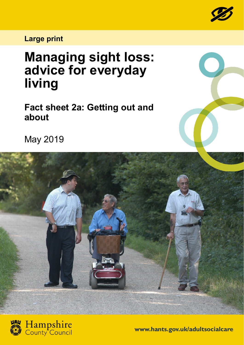

## **Large print**

## **Managing sight loss: advice for everyday living**

**Fact sheet 2a: Getting out and about**

May 2019





**www.hants.gov.uk/adultsocialcare**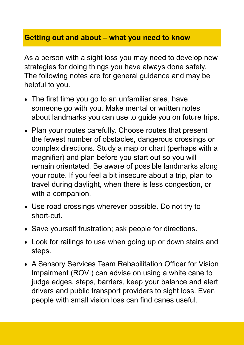## **Getting out and about – what you need to know**

As a person with a sight loss you may need to develop new strategies for doing things you have always done safely. The following notes are for general guidance and may be helpful to you.

- The first time you go to an unfamiliar area, have someone go with you. Make mental or written notes about landmarks you can use to guide you on future trips.
- Plan your routes carefully. Choose routes that present the fewest number of obstacles, dangerous crossings or complex directions. Study a map or chart (perhaps with a magnifier) and plan before you start out so you will remain orientated. Be aware of possible landmarks along your route. If you feel a bit insecure about a trip, plan to travel during daylight, when there is less congestion, or with a companion.
- Use road crossings wherever possible. Do not try to short-cut.
- Save yourself frustration; ask people for directions.
- Look for railings to use when going up or down stairs and steps.
- A Sensory Services Team Rehabilitation Officer for Vision Impairment (ROVI) can advise on using a white cane to judge edges, steps, barriers, keep your balance and alert drivers and public transport providers to sight loss. Even people with small vision loss can find canes useful.